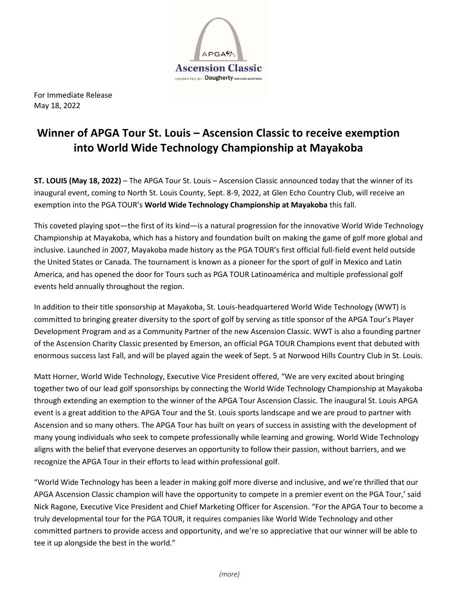

For Immediate Release May 18, 2022

# **Winner of APGA Tour St. Louis – Ascension Classic to receive exemption into World Wide Technology Championship at Mayakoba**

**ST. LOUIS (May 18, 2022)** – The APGA Tour St. Louis – Ascension Classic announced today that the winner of its inaugural event, coming to North St. Louis County, Sept. 8-9, 2022, at Glen Echo Country Club, will receive an exemption into the PGA TOUR's **World Wide Technology Championship at Mayakoba** this fall.

This coveted playing spot—the first of its kind—is a natural progression for the innovative World Wide Technology Championship at Mayakoba, which has a history and foundation built on making the game of golf more global and inclusive. Launched in 2007, Mayakoba made history as the PGA TOUR's first official full-field event held outside the United States or Canada. The tournament is known as a pioneer for the sport of golf in Mexico and Latin America, and has opened the door for Tours such as PGA TOUR Latinoamérica and multiple professional golf events held annually throughout the region.

In addition to their title sponsorship at Mayakoba, St. Louis-headquartered World Wide Technology (WWT) is committed to bringing greater diversity to the sport of golf by serving as title sponsor of the APGA Tour's Player Development Program and as a Community Partner of the new Ascension Classic. WWT is also a founding partner of the Ascension Charity Classic presented by Emerson, an official PGA TOUR Champions event that debuted with enormous success last Fall, and will be played again the week of Sept. 5 at Norwood Hills Country Club in St. Louis.

Matt Horner, World Wide Technology, Executive Vice President offered, "We are very excited about bringing together two of our lead golf sponsorships by connecting the World Wide Technology Championship at Mayakoba through extending an exemption to the winner of the APGA Tour Ascension Classic. The inaugural St. Louis APGA event is a great addition to the APGA Tour and the St. Louis sports landscape and we are proud to partner with Ascension and so many others. The APGA Tour has built on years of success in assisting with the development of many young individuals who seek to compete professionally while learning and growing. World Wide Technology aligns with the belief that everyone deserves an opportunity to follow their passion, without barriers, and we recognize the APGA Tour in their efforts to lead within professional golf.

"World Wide Technology has been a leader in making golf more diverse and inclusive, and we're thrilled that our APGA Ascension Classic champion will have the opportunity to compete in a premier event on the PGA Tour,' said Nick Ragone, Executive Vice President and Chief Marketing Officer for Ascension. "For the APGA Tour to become a truly developmental tour for the PGA TOUR, it requires companies like World Wide Technology and other committed partners to provide access and opportunity, and we're so appreciative that our winner will be able to tee it up alongside the best in the world."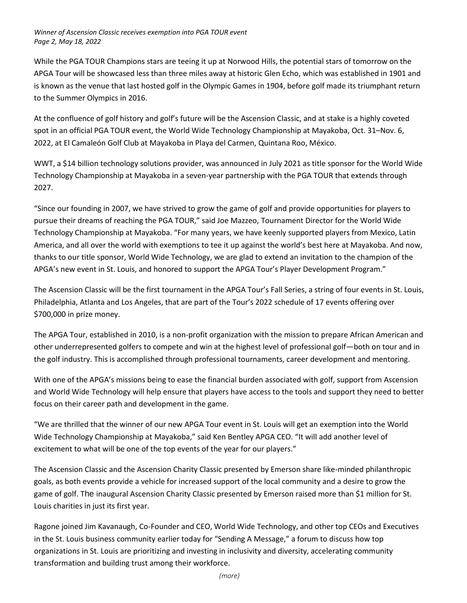# *Winner of Ascension Classic receives exemption into PGA TOUR event Page 2, May 18, 2022*

While the PGA TOUR Champions stars are teeing it up at Norwood Hills, the potential stars of tomorrow on the APGA Tour will be showcased less than three miles away at historic Glen Echo, which was established in 1901 and is known as the venue that last hosted golf in the Olympic Games in 1904, before golf made its triumphant return to the Summer Olympics in 2016.

At the confluence of golf history and golf's future will be the Ascension Classic, and at stake is a highly coveted spot in an official PGA TOUR event, the World Wide Technology Championship at Mayakoba, Oct. 31–Nov. 6, 2022, at El Camaleón Golf Club at Mayakoba in Playa del Carmen, Quintana Roo, México.

WWT, a \$14 billion technology solutions provider, was announced in July 2021 as title sponsor for the World Wide Technology Championship at Mayakoba in a seven-year partnership with the PGA TOUR that extends through 2027.

"Since our founding in 2007, we have strived to grow the game of golf and provide opportunities for players to pursue their dreams of reaching the PGA TOUR," said Joe Mazzeo, Tournament Director for the World Wide Technology Championship at Mayakoba. "For many years, we have keenly supported players from Mexico, Latin America, and all over the world with exemptions to tee it up against the world's best here at Mayakoba. And now, thanks to our title sponsor, World Wide Technology, we are glad to extend an invitation to the champion of the APGA's new event in St. Louis, and honored to support the APGA Tour's Player Development Program."

The Ascension Classic will be the first tournament in the APGA Tour's Fall Series, a string of four events in St. Louis, Philadelphia, Atlanta and Los Angeles, that are part of the Tour's 2022 schedule of 17 events offering over \$700,000 in prize money.

The APGA Tour, established in 2010, is a non-profit organization with the mission to prepare African American and other underrepresented golfers to compete and win at the highest level of professional golf—both on tour and in the golf industry. This is accomplished through professional tournaments, career development and mentoring.

With one of the APGA's missions being to ease the financial burden associated with golf, support from Ascension and World Wide Technology will help ensure that players have access to the tools and support they need to better focus on their career path and development in the game.

"We are thrilled that the winner of our new APGA Tour event in St. Louis will get an exemption into the World Wide Technology Championship at Mayakoba," said Ken Bentley APGA CEO. "It will add another level of excitement to what will be one of the top events of the year for our players."

The Ascension Classic and the Ascension Charity Classic presented by Emerson share like-minded philanthropic goals, as both events provide a vehicle for increased support of the local community and a desire to grow the game of golf. The inaugural Ascension Charity Classic presented by Emerson raised more than \$1 million for St. Louis charities in just its first year.

Ragone joined Jim Kavanaugh, Co-Founder and CEO, World Wide Technology, and other top CEOs and Executives in the St. Louis business community earlier today for "Sending A Message," a forum to discuss how top organizations in St. Louis are prioritizing and investing in inclusivity and diversity, accelerating community transformation and building trust among their workforce.